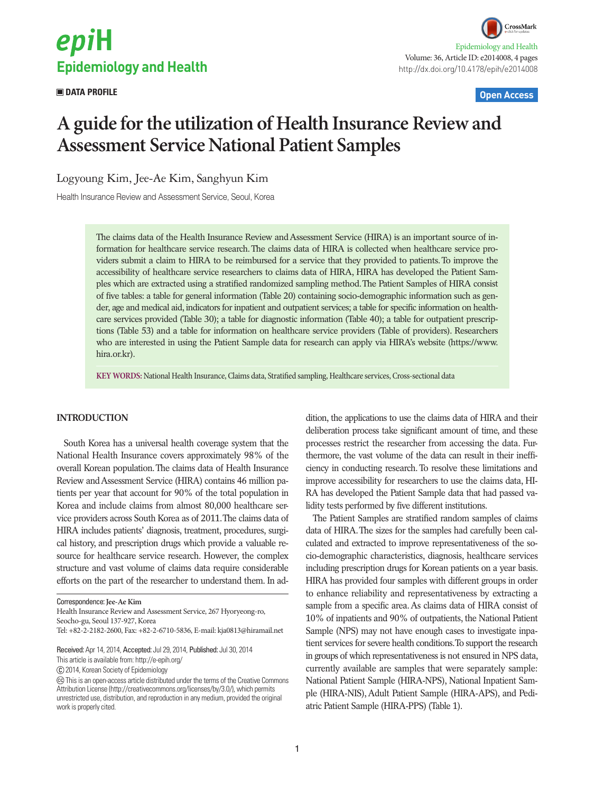# epiH **Epidemiology and Health**

 **DATA PROFILE Open Access**

# **A guide for the utilization of Health Insurance Review and Assessment Service National Patient Samples**

Logyoung Kim, Jee-Ae Kim, Sanghyun Kim

Health Insurance Review and Assessment Service, Seoul, Korea

The claims data of the Health Insurance Review and Assessment Service (HIRA) is an important source of information for healthcare service research. The claims data of HIRA is collected when healthcare service providers submit a claim to HIRA to be reimbursed for a service that they provided to patients. To improve the accessibility of healthcare service researchers to claims data of HIRA, HIRA has developed the Patient Samples which are extracted using a stratified randomized sampling method. The Patient Samples of HIRA consist of five tables: a table for general information (Table 20) containing socio-demographic information such as gender, age and medical aid, indicators for inpatient and outpatient services; a table for specific information on healthcare services provided (Table 30); a table for diagnostic information (Table 40); a table for outpatient prescriptions (Table 53) and a table for information on healthcare service providers (Table of providers). Researchers who are interested in using the Patient Sample data for research can apply via HIRA's website (https://www. hira.or.kr).

**KEY WORDS:** National Health Insurance, Claims data, Stratified sampling, Healthcare services, Cross-sectional data

### **INTRODUCTION**

South Korea has a universal health coverage system that the National Health Insurance covers approximately 98% of the overall Korean population. The claims data of Health Insurance Review and Assessment Service (HIRA) contains 46 million patients per year that account for 90% of the total population in Korea and include claims from almost 80,000 healthcare service providers across South Korea as of 2011. The claims data of HIRA includes patients' diagnosis, treatment, procedures, surgical history, and prescription drugs which provide a valuable resource for healthcare service research. However, the complex structure and vast volume of claims data require considerable efforts on the part of the researcher to understand them. In ad-

Health Insurance Review and Assessment Service, 267 Hyoryeong-ro, Seocho-gu, Seoul 137-927, Korea

Tel: +82-2-2182-2600, Fax: +82-2-6710-5836, E-mail: kja0813@hiramail.net

This article is available from: http://e-epih.org/

2014, Korean Society of Epidemiology

dition, the applications to use the claims data of HIRA and their deliberation process take significant amount of time, and these processes restrict the researcher from accessing the data. Furthermore, the vast volume of the data can result in their inefficiency in conducting research. To resolve these limitations and improve accessibility for researchers to use the claims data, HI-RA has developed the Patient Sample data that had passed validity tests performed by five different institutions.

The Patient Samples are stratified random samples of claims data of HIRA. The sizes for the samples had carefully been calculated and extracted to improve representativeness of the socio-demographic characteristics, diagnosis, healthcare services including prescription drugs for Korean patients on a year basis. HIRA has provided four samples with different groups in order to enhance reliability and representativeness by extracting a sample from a specific area. As claims data of HIRA consist of 10% of inpatients and 90% of outpatients, the National Patient Sample (NPS) may not have enough cases to investigate inpatient services for severe health conditions. To support the research in groups of which representativeness is not ensured in NPS data, currently available are samples that were separately sample: National Patient Sample (HIRA-NPS), National Inpatient Sample (HIRA-NIS), Adult Patient Sample (HIRA-APS), and Pediatric Patient Sample (HIRA-PPS) (Table 1).

Correspondence: **Jee-Ae Kim**

Received: Apr 14, 2014, Accepted: Jul 29, 2014, Published: Jul 30, 2014

This is an open-access article distributed under the terms of the Creative Commons Attribution License (http://creativecommons.org/licenses/by/3.0/), which permits unrestricted use, distribution, and reproduction in any medium, provided the original work is properly cited.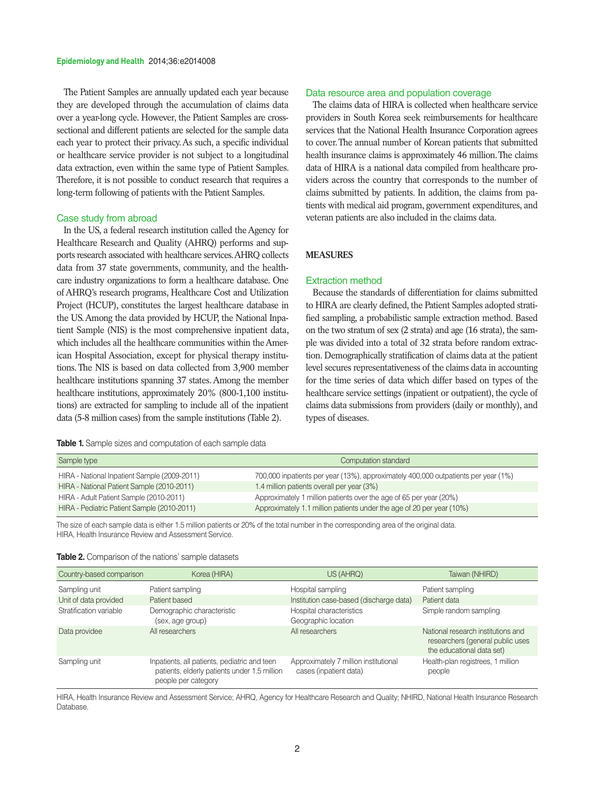#### **Epidemiology and Health** 2014;36:e2014008

The Patient Samples are annually updated each year because they are developed through the accumulation of claims data over a year-long cycle. However, the Patient Samples are crosssectional and different patients are selected for the sample data each year to protect their privacy. As such, a specific individual or healthcare service provider is not subject to a longitudinal data extraction, even within the same type of Patient Samples. Therefore, it is not possible to conduct research that requires a long-term following of patients with the Patient Samples.

#### Case study from abroad

In the US, a federal research institution called the Agency for Healthcare Research and Quality (AHRQ) performs and supports research associated with healthcare services. AHRQ collects data from 37 state governments, community, and the healthcare industry organizations to form a healthcare database. One of AHRQ's research programs, Healthcare Cost and Utilization Project (HCUP), constitutes the largest healthcare database in the US. Among the data provided by HCUP, the National Inpatient Sample (NIS) is the most comprehensive inpatient data, which includes all the healthcare communities within the American Hospital Association, except for physical therapy institutions. The NIS is based on data collected from 3,900 member healthcare institutions spanning 37 states. Among the member healthcare institutions, approximately 20% (800-1,100 institutions) are extracted for sampling to include all of the inpatient data (5-8 million cases) from the sample institutions (Table 2).

|  |  |  | <b>Table 1.</b> Sample sizes and computation of each sample data |  |  |  |
|--|--|--|------------------------------------------------------------------|--|--|--|
|--|--|--|------------------------------------------------------------------|--|--|--|

#### Data resource area and population coverage

The claims data of HIRA is collected when healthcare service providers in South Korea seek reimbursements for healthcare services that the National Health Insurance Corporation agrees to cover. The annual number of Korean patients that submitted health insurance claims is approximately 46 million. The claims data of HIRA is a national data compiled from healthcare providers across the country that corresponds to the number of claims submitted by patients. In addition, the claims from patients with medical aid program, government expenditures, and veteran patients are also included in the claims data.

## **MEASURES**

#### Extraction method

Because the standards of differentiation for claims submitted to HIRA are clearly defined, the Patient Samples adopted stratified sampling, a probabilistic sample extraction method. Based on the two stratum of sex (2 strata) and age (16 strata), the sample was divided into a total of 32 strata before random extraction. Demographically stratification of claims data at the patient level secures representativeness of the claims data in accounting for the time series of data which differ based on types of the healthcare service settings (inpatient or outpatient), the cycle of claims data submissions from providers (daily or monthly), and types of diseases.

| Sample type                                  | Computation standard                                                               |
|----------------------------------------------|------------------------------------------------------------------------------------|
| HIRA - National Inpatient Sample (2009-2011) | 700,000 inpatients per year (13%), approximately 400,000 outpatients per year (1%) |
| HIRA - National Patient Sample (2010-2011)   | 1.4 million patients overall per year (3%)                                         |
| HIRA - Adult Patient Sample (2010-2011)      | Approximately 1 million patients over the age of 65 per year (20%)                 |
| HIRA - Pediatric Patient Sample (2010-2011)  | Approximately 1.1 million patients under the age of 20 per year (10%)              |

The size of each sample data is either 1.5 million patients or 20% of the total number in the corresponding area of the original data. HIRA, Health Insurance Review and Assessment Service.

|  |  |  | <b>Table 2.</b> Comparison of the nations' sample datasets |
|--|--|--|------------------------------------------------------------|
|--|--|--|------------------------------------------------------------|

| Country-based comparison | Korea (HIRA)                                                                                                        | US (AHRQ)                                                       | Taiwan (NHIRD)                                                                                      |
|--------------------------|---------------------------------------------------------------------------------------------------------------------|-----------------------------------------------------------------|-----------------------------------------------------------------------------------------------------|
| Sampling unit            | Patient sampling                                                                                                    | Hospital sampling                                               | Patient sampling                                                                                    |
| Unit of data provided    | Patient based                                                                                                       | Institution case-based (discharge data)                         | Patient data                                                                                        |
| Stratification variable  | Demographic characteristic<br>(sex, age group)                                                                      | Hospital characteristics<br>Geographic location                 | Simple random sampling                                                                              |
| Data providee            | All researchers                                                                                                     | All researchers                                                 | National research institutions and<br>researchers (general public uses<br>the educational data set) |
| Sampling unit            | Inpatients, all patients, pediatric and teen<br>patients, elderly patients under 1.5 million<br>people per category | Approximately 7 million institutional<br>cases (inpatient data) | Health-plan registrees, 1 million<br>people                                                         |

HIRA, Health Insurance Review and Assessment Service; AHRQ, Agency for Healthcare Research and Quality; NHIRD, National Health Insurance Research Database.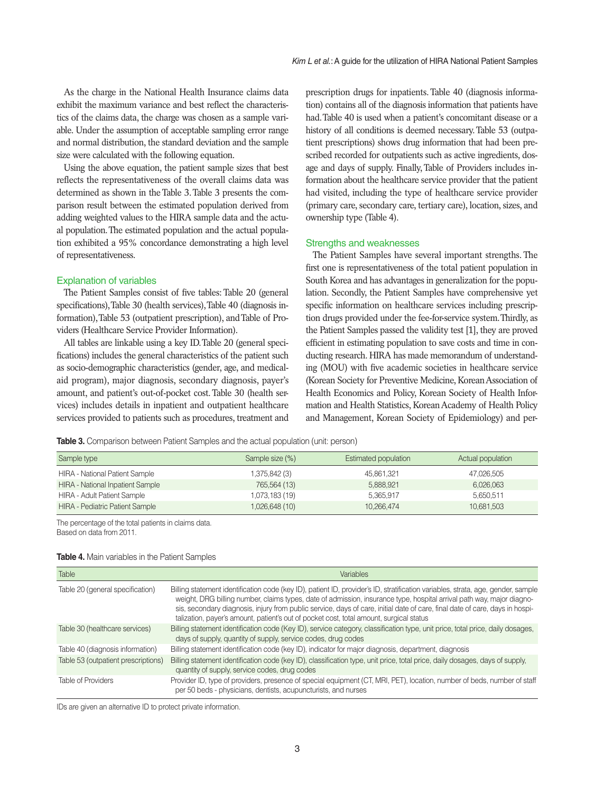As the charge in the National Health Insurance claims data exhibit the maximum variance and best reflect the characteristics of the claims data, the charge was chosen as a sample variable. Under the assumption of acceptable sampling error range and normal distribution, the standard deviation and the sample size were calculated with the following equation.

Using the above equation, the patient sample sizes that best reflects the representativeness of the overall claims data was determined as shown in the Table 3. Table 3 presents the comparison result between the estimated population derived from adding weighted values to the HIRA sample data and the actual population. The estimated population and the actual population exhibited a 95% concordance demonstrating a high level of representativeness.

#### Explanation of variables

The Patient Samples consist of five tables: Table 20 (general specifications), Table 30 (health services), Table 40 (diagnosis information), Table 53 (outpatient prescription), and Table of Providers (Healthcare Service Provider Information).

All tables are linkable using a key ID. Table 20 (general specifications) includes the general characteristics of the patient such as socio-demographic characteristics (gender, age, and medicalaid program), major diagnosis, secondary diagnosis, payer's amount, and patient's out-of-pocket cost. Table 30 (health services) includes details in inpatient and outpatient healthcare services provided to patients such as procedures, treatment and prescription drugs for inpatients. Table 40 (diagnosis information) contains all of the diagnosis information that patients have had. Table 40 is used when a patient's concomitant disease or a history of all conditions is deemed necessary. Table 53 (outpatient prescriptions) shows drug information that had been prescribed recorded for outpatients such as active ingredients, dosage and days of supply. Finally, Table of Providers includes information about the healthcare service provider that the patient had visited, including the type of healthcare service provider (primary care, secondary care, tertiary care), location, sizes, and ownership type (Table 4).

#### Strengths and weaknesses

The Patient Samples have several important strengths. The first one is representativeness of the total patient population in South Korea and has advantages in generalization for the population. Secondly, the Patient Samples have comprehensive yet specific information on healthcare services including prescription drugs provided under the fee-for-service system. Thirdly, as the Patient Samples passed the validity test [1], they are proved efficient in estimating population to save costs and time in conducting research. HIRA has made memorandum of understanding (MOU) with five academic societies in healthcare service (Korean Society for Preventive Medicine, Korean Association of Health Economics and Policy, Korean Society of Health Information and Health Statistics, Korean Academy of Health Policy and Management, Korean Society of Epidemiology) and per-

**Table 3.** Comparison between Patient Samples and the actual population (unit: person)

| Sample type                             | Sample size (%) | <b>Estimated population</b> | Actual population |
|-----------------------------------------|-----------------|-----------------------------|-------------------|
| <b>HIRA - National Patient Sample</b>   | 1,375,842 (3)   | 45.861.321                  | 47,026,505        |
| <b>HIRA - National Inpatient Sample</b> | 765,564 (13)    | 5,888,921                   | 6,026,063         |
| <b>HIRA - Adult Patient Sample</b>      | 1,073,183 (19)  | 5.365.917                   | 5.650.511         |
| <b>HIRA - Pediatric Patient Sample</b>  | 1,026,648 (10)  | 10.266.474                  | 10,681,503        |

The percentage of the total patients in claims data. Based on data from 2011.

| <b>Table</b>                        | Variables                                                                                                                                                                                                                                                                                                                                                                                                                                                                            |
|-------------------------------------|--------------------------------------------------------------------------------------------------------------------------------------------------------------------------------------------------------------------------------------------------------------------------------------------------------------------------------------------------------------------------------------------------------------------------------------------------------------------------------------|
| Table 20 (general specification)    | Billing statement identification code (key ID), patient ID, provider's ID, stratification variables, strata, age, gender, sample<br>weight, DRG billing number, claims types, date of admission, insurance type, hospital arrival path way, major diagno-<br>sis, secondary diagnosis, injury from public service, days of care, initial date of care, final date of care, days in hospi-<br>talization, payer's amount, patient's out of pocket cost, total amount, surgical status |
| Table 30 (healthcare services)      | Billing statement identification code (Key ID), service category, classification type, unit price, total price, daily dosages,<br>days of supply, quantity of supply, service codes, drug codes                                                                                                                                                                                                                                                                                      |
| Table 40 (diagnosis information)    | Billing statement identification code (key ID), indicator for major diagnosis, department, diagnosis                                                                                                                                                                                                                                                                                                                                                                                 |
| Table 53 (outpatient prescriptions) | Billing statement identification code (key ID), classification type, unit price, total price, daily dosages, days of supply,<br>quantity of supply, service codes, drug codes                                                                                                                                                                                                                                                                                                        |
| Table of Providers                  | Provider ID, type of providers, presence of special equipment (CT, MRI, PET), location, number of beds, number of staff<br>per 50 beds - physicians, dentists, acupuncturists, and nurses                                                                                                                                                                                                                                                                                            |

#### **Table 4.** Main variables in the Patient Samples

IDs are given an alternative ID to protect private information.